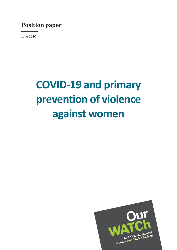# **Position paper**

June 2020

# **COVID-19 and primary prevention of violence against women**

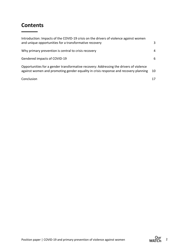# **Contents**

| Introduction: Impacts of the COVID-19 crisis on the drivers of violence against women<br>and unique opportunities for a transformative recovery                                | 3  |
|--------------------------------------------------------------------------------------------------------------------------------------------------------------------------------|----|
| Why primary prevention is central to crisis recovery                                                                                                                           | 4  |
| Gendered impacts of COVID-19                                                                                                                                                   | 6  |
| Opportunities for a gender transformative recovery: Addressing the drivers of violence<br>against women and promoting gender equality in crisis response and recovery planning | 10 |
| Conclusion                                                                                                                                                                     | 17 |

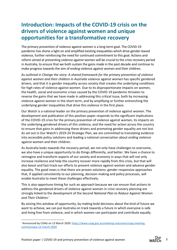# **Introduction: Impacts of the COVID-19 crisis on the drivers of violence against women and unique opportunities for a transformative recovery**

The primary prevention of violence against women is a long-term goal. The COVID-19 pandemic has shone a light on and amplified existing inequalities which drive gender-based violence, further reinforcing the need for continued commitment to this goal. Actions and reform aimed at preventing violence against women will be crucial to the crisis recovery period in Australia, to ensure that we both sustain the gains made in the past decade and continue to make progress towards the aim of ending violence against women and their children.

As outlined in *Change the story: A shared framework for the primary prevention of violence against women and their children in Australia* violence against women has specific gendered drivers, and that it is gender inequality across society that creates the underlying conditions for high rates of violence against women. Due to its disproportionate impacts on women, the health, social and economic crises caused by the COVID-19 pandemic threaten to reverse the gains that we have made in addressing this critical issue, both by increasing violence against women in the short term, and by amplifying or further entrenching the underlying gender inequalities that drive this violence in the first place.

Our Watch is a national leader on the primary prevention of violence against women. The development and publication of this position paper responds to the significant implications of the COVID-19 crisis for the primary prevention of violence against women, its impacts on the underlying gendered drivers of this violence, and the need for action across the country to ensure that gains in addressing these drivers and promoting gender equality are not lost. As set out in Our Watch's 2019-24 Strategic Plan, we are committed to translating evidence into accessible policy solutions and leading a national conversation about ending violence against women and their children.

As Australia looks towards the recovery period, we not only have challenges to overcome, we also have a unique opportunity to do things differently, and better. We have a chance to reimagine and transform aspects of our society and economy in ways that will not only increase resilience and help the country recover more rapidly from this crisis, but that will also boost and fast-track our efforts to prevent violence against women and advance gender equality. The good news is that there are proven solutions: gender-responsive approaches that, if applied consistently to our planning, decision-making and policy processes, will enable Australia to meet these challenges effectively.

This is also opportune timing for such an approach because we can ensure that actions to address the gendered drivers of violence against women in crisis recovery planning are strongly linked to the development of the Second *National Plan to Reduce Against Women and Their Children.*<sup>i</sup>

By seizing this window of opportunity, by making bold decisions about the kind of future we want to achieve, we can put Australia on track towards a future in which everyone is safe and living free from violence, and in which women can participate and contribute equally.

<sup>&</sup>lt;sup>i</sup> Announced by COAG on 13 March 2020: [https://www.coag.gov.au/meeting-outcomes/coag-meeting](https://www.coag.gov.au/meeting-outcomes/coag-meeting-communique-13-march-2020)[communique-13-march-2020](https://www.coag.gov.au/meeting-outcomes/coag-meeting-communique-13-march-2020)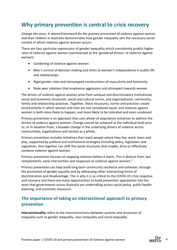## **Why primary prevention is central to crisis recovery**

*Change the story: A shared framework for the primary prevention of violence against women and their children in Australia* demonstrates how gender inequality sets the necessary social context in which violence against women occurs.

There are four particular expressions of gender inequality which consistently predict higher rates of violence against women (summarised as the 'gendered drivers' of violence against women):

- Condoning of violence against women
- Men's control of decision-making and limits to women's independence in public life and relationships
- Rigid gender roles and stereotyped constructions of masculinity and femininity
- Male peer relations that emphasise aggression and disrespect towards women

The drivers of violence against women arise from unequal and discriminatory institutional, social and economic structures, social and cultural norms, and organisational, community, family and relationship practices. Together, these structures, norms and practices create environments in which women and men are not considered equal, and violence against women is both more likely to happen, and more likely to be tolerated and even condoned.

Primary prevention is an approach that uses whole-of-population initiatives to address the drivers of violence against women. Change cannot be achieved at the individual level prior to, or in isolation from, a broader change in the underlying drivers of violence across communities, organisations and society as a whole.

Primary prevention includes initiatives that reach people where they live, work, learn and play, supported by political and institutional strategies including policy, legislation and regulation, that together can shift the social structures that enable, drive or effectively condone violence against women.

Primary prevention focuses on stopping violence before it starts. This is distinct from, but complements, early intervention and responses to violence against women.<sup>2</sup>

Primary prevention can help build long term community resilience and cohesion, through the promotion of gender equality and by addressing other intersecting forms of discrimination and disadvantage. This is why it is so critical to the COVID-19 crisis response and recovery and there are many opportunities to build prevention approaches into the work that governments across Australia are undertaking across social policy, public health planning, and economic measures.

## **The importance of taking an intersectional approach to primary prevention**

**Intersectionality** refers to the interconnections between systems and structures of inequality such as gender inequality, class inequality and racial inequality.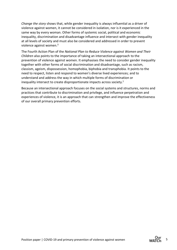*Change the story* shows that, while gender inequality is always influential as a driver of violence against women, it cannot be considered in isolation, nor is it experienced in the same way by every woman. Other forms of systemic social, political and economic inequality, discrimination and disadvantage influence and intersect with gender inequality at all levels of society and must also be considered and addressed in order to prevent violence against women.<sup>3</sup>

The Fourth Action Plan of the *National Plan to Reduce Violence against Women and Their Children* also points to the importance of taking an intersectional approach to the prevention of violence against women. It emphasises the need to consider gender inequality together with other forms of social discrimination and disadvantage, such as racism, classism, ageism, dispossession, homophobia, biphobia and transphobia. It points to the need to respect, listen and respond to women's diverse lived experiences; and to understand and address the way in which multiple forms of discrimination or inequality intersect to create disproportionate impacts across society.<sup>1</sup>

Because an intersectional approach focuses on the social systems and structures, norms and practices that contribute to discrimination and privilege, and influence perpetration and experiences of violence, it is an approach that can strengthen and improve the effectiveness of our overall primary prevention efforts.

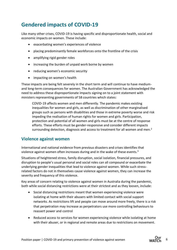# **Gendered impacts of COVID-19**

Like many other crises, COVID-19 is having specific and disproportionate health, social and economic impacts on women. These include:

- exacerbating women's experiences of violence
- placing predominantly female workforces onto the frontline of the crisis
- amplifying rigid gender roles
- increasing the burden of unpaid work borne by women
- reducing women's economic security
- impacting on women's health

These impacts are being felt severely in the short term and will continue to have mediumand long-term consequences for women. The Australian Government has acknowledged the need to address these disproportionate impacts signing on to a joint statement with ministers representing governments of 58 countries which states:

COVID-19 affects women and men differently. The pandemic makes existing inequalities for women and girls, as well as discrimination of other marginalised groups such as persons with disabilities and those in extreme poverty worse and risk impeding the realisation of human rights for women and girls. Participation, protection and potential of all women and girls must be at the centre of response efforts. These efforts must be gender-responsive and consider different impacts surrounding detection, diagnosis and access to treatment for all women and men.<sup>2</sup>

#### **Violence against women**

International and national evidence from previous disasters and crises identifies that violence against women often increases during and in the wake of these events.<sup>3</sup>

Situations of heightened stress, family disruption, social isolation, financial pressures, and disruption to people's usual personal and social roles can all compound or exacerbate the underlying gender inequalities that lead to violence against women. While such stressrelated factors do not in themselves cause violence against women, they can increase the severity and frequency of this violence.

Key areas of concern relating to violence against women in Australia during the pandemic, both while social distancing restrictions were at their strictest and as they loosen, include:

- Social distancing restrictions meant that women experiencing violence were isolating at home with their abusers with limited contact with social support networks. As restrictions lift and people can move around more freely, there is a risk that perpetration may increase as perpetrators use more controlling behaviours to reassert power and control
- Reduced access to services for women experiencing violence while isolating at home with their abuser, or in regional and remote areas due to restrictions on movement.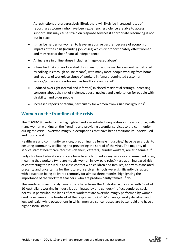As restrictions are progressively lifted, there will likely be increased rates of reporting as women who have been experiencing violence are able to access support. This may cause strain on response services if appropriate resourcing is not put in place

- It may be harder for women to leave an abusive partner because of economic impacts of the crisis (including job losses) which disproportionately effect women and may restrict their financial independence
- An increase in online abuse including image-based abuse<sup>4</sup>
- Intensified risks of work-related discrimination and sexual harassment perpetrated by colleagues through online means<sup>5</sup>, with many more people working from home, and reports of workplace abuse of workers in female-dominated customer service/public-facing roles such as healthcare and retail<sup>6</sup>
- Reduced oversight (formal and informal) in closed residential settings, increasing concerns about the risk of violence, abuse, neglect and exploitation for people with disability<sup>7</sup> and older people
- Increased reports of racism, particularly for women from Asian backgrounds<sup>8</sup>

## **Women on the frontline of the crisis**

The COVID-19 pandemic has highlighted and exacerbated inequalities in the workforce, with many women working on the frontline and providing essential services to the community during the crisis – overwhelmingly in occupations that have been traditionally undervalued and poorly paid.

Healthcare and community services, predominantly female industries, $9$  have been crucial to ensuring community wellbeing and preventing the spread of the virus. The majority of service staff at healthcare facilities (cleaners, caterers, laundry workers) are also female.<sup>10</sup>

Early childhood education and care have been identified as key services and remained open, meaning that workers (who are mostly women in low-paid roles)<sup>11</sup> are at an increased risk of contracting the virus due to close contact with children and families, and with associated precarity and uncertainty for the future of services. Schools were significantly disrupted, with education being delivered remotely for almost three months, highlighting the importance of the work that teachers (who are predominantly female) $^{12}$  do.

The gendered structural dynamics that characterise the Australian workforce, with 6 out of 10 Australians working in industries dominated by one gender, $13$  reflect gendered social norms. In particular, the kinds of care work that are overwhelmingly performed by women (and have been at the forefront of the response to COVID-19) are generally devalued and less well paid, while occupations in which men are concentrated are better paid and have a higher social status.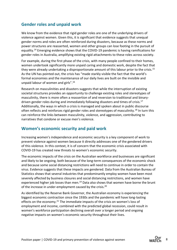#### **Gender roles and unpaid work**

We know from the evidence that rigid gender roles are one of the underlying drivers of violence against women. Given this, it is significant that evidence suggests that unequal gender norms and roles are often reinforced during disasters, because as these norms and power structures are reasserted, women and other groups can lose footing in the pursuit of equality.<sup>14</sup> Emerging evidence shows that the COVID-19 pandemic is having ramifications for gender roles in Australia, amplifying existing rigid attachments to these roles across society.

For example, during the first phase of the crisis, with many people confined to their homes, women undertook significantly more unpaid caring and domestic work, despite the fact that they were already undertaking a disproportionate amount of this labour prior to the crisis.<sup>15</sup> As the UN has pointed out, the crisis has "made starkly visible the fact that the world's formal economies and the maintenance of our daily lives are built on the invisible and unpaid labour of women and girls".<sup>16</sup>

Research on masculinities and disasters suggests that while the interruption of existing societal structures provides an opportunity to challenge existing roles and stereotypes of masculinity, there is more often a reassertion of and reversion to traditional and binarydriven gender roles during and immediately following disasters and times of crisis.<sup>17</sup> Additionally, the ways in which a crisis is managed and spoken about in public discourse often reflects and reinforces rigid gender roles and stereotypes of masculinity.<sup>18</sup> In turn this can reinforce the links between masculinity, violence, and aggression, contributing to narratives that condone or excuse men's violence.

#### **Women's economic security and paid work**

Increasing women's independence and economic security is a key component of work to prevent violence against women because it directly addresses one of the gendered drivers of this violence. In this context, it is of concern that the economic crisis associated with COVID-19 has created new threats to women's economic security.

The economic impacts of the crisis on the Australian workforce and businesses are significant and likely to be ongoing, both because of the long-term consequences of the economic shock and because some social distancing restrictions will need to continue in order to contain the virus. Evidence suggests that these impacts are gendered. Data from the Australian Bureau of Statistics shows that several industries that predominantly employ women have been most severely affected by business closures and social distancing restrictions, and women have experienced higher job losses than men.<sup>19</sup> Data also shows that women have borne the brunt of the increase in under-employment caused by the crisis.<sup>20</sup>

As identified by the Reserve Bank Governor, the Australian economy is experiencing the biggest economic contraction since the 1930s and the pandemic will have long-lasting effects on the economy.<sup>21</sup> The immediate impacts of the crisis on women's loss of employment and income, combined with the predicted global recession, could result in women's workforce participation declining overall over a longer period and ongoing negative impacts on women's economic security throughout their lives.

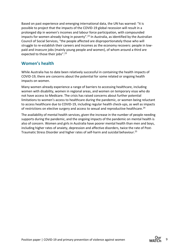Based on past experience and emerging international data, the UN has warned: "it is possible to project that the impacts of the COVID-19 global recession will result in a prolonged dip in women's incomes and labour force participation, with compounded impacts for women already living in poverty".<sup>22</sup> In Australia, as identified by the Australian Council of Social Services, "the people affected are disproportionately those who will struggle to re-establish their careers and incomes as the economy recovers: people in lowpaid and insecure jobs (mainly young people and women), of whom around a third are expected to those their jobs".<sup>23</sup>

#### **Women's health**

While Australia has to date been relatively successful in containing the health impacts of COVID-19, there are concerns about the potential for some related or ongoing health impacts on women.

Many women already experience a range of barriers to accessing healthcare, including women with disability, women in regional areas, and women on temporary visas who do not have access to Medicare. The crisis has raised concerns about further potential limitations to women's access to healthcare during the pandemic, or women being reluctant to access healthcare due to COVID-19, including regular health check-ups, as well as impacts of restrictions on elective surgery and access to sexual and reproductive healthcare.<sup>24</sup>

The availability of mental health services, given the increase in the number of people needing supports during the pandemic, and the ongoing impacts of the pandemic on mental health is also of concern. Women and girls in Australia have poorer mental health than men and boys, including higher rates of anxiety, depression and affective disorders, twice the rate of Post-Traumatic Stress Disorder and higher rates of self-harm and suicidal behaviour.25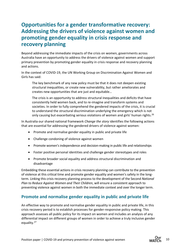# **Opportunities for a gender transformative recovery: Addressing the drivers of violence against women and promoting gender equality in crisis response and recovery planning**

Beyond addressing the immediate impacts of the crisis on women, governments across Australia have an opportunity to address the drivers of violence against women and support primary prevention by promoting gender equality in crisis response and recovery planning and actions.

In the context of COVID-19, the UN Working Group on Discrimination Against Women and Girls has said:

The key benchmark of any new policy must be that it does not deepen existing structural inequalities, or create new vulnerability, but rather ameliorates and creates new opportunities that are just and equitable…

The crisis is an opportunity to address structural inequalities and deficits that have consistently held women back, and to re-imagine and transform systems and societies. In order to fully comprehend the gendered impacts of the crisis, it is crucial to understand the structural discrimination underlying the emergency which is not only causing but exacerbating serious violations of women and girls' human rights.<sup>26</sup>

In Australia our shared national framework *Change the story* identifies the following actions that are essential for addressing the gendered drivers of violence against women:

- Promote and normalise gender equality in public and private life
- Challenge condoning of violence against women
- Promote women's independence and decision-making in public life and relationships
- Foster positive personal identities and challenge gender stereotypes and roles
- Promote broader social equality and address structural discrimination and disadvantage

Embedding these essential actions in crisis recovery planning can contribute to the prevention of violence at this critical time and promote gender equality and women's safety in the longterm. Linking this crisis recovery planning process to the development of the Second *National Plan to Reduce Against Women and Their Children*, will ensure a consistent approach to preventing violence against women in both the immediate context and over the longer term.

#### **Promote and normalise gender equality in public and private life**

An effective way to promote and normalise gender equality in public and private life, in this crisis recovery period is to establish processes for gender-responsive policy making. This approach assesses all public policy for its impact on women and includes an analysis of any differential impact on different groups of women in order to achieve a truly inclusive gender equality.27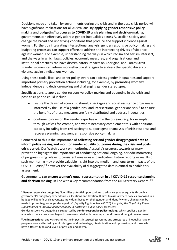Decisions made and taken by governments during the crisis and in the post-crisis period will have significant implications for all Australians. By **applying gender responsive policymaking and budgetingii processes to COVID-19 crisis planning and decision-making**, governments can effectively address gender inequalities across Australian society and change the broad and underlying conditions that produce and support violence against women. Further, by integrating intersectional analysis, gender responsive policy-making and budgeting processes can support efforts to address the intersecting drivers of violence against women. For example, understanding the ways in which racism and sexism intersect, and the ways in which laws, policies, economic measures, and organisational and institutional practices can have discriminatory impacts on Aboriginal and Torres Strait Islander women, can inform more effective strategies to address the specific drivers of violence against Indigenous women.

Using these tools, fiscal and other policy levers can address gender inequalities and support important primary prevention actions including, for example, by promoting women's independence and decision-making and challenging gender stereotypes.

Specific actions to apply gender responsive policy-making and budgeting in the crisis and post-crisis period could include:

- Ensure the design of economic stimulus packages and social assistance programs is informed by the use of a gender lens, and intersectional gender analysis,  $\ddot{m}$  to ensure the benefits of these measures are fairly distributed and address inequalities
- Continue to draw on the gender expertise within the bureaucracy, for example through Offices for Women, and where necessary complement this with additional capacity including from civil society to support gender analysis of crisis response and recovery planning, and gender responsive policy-making

Connected to this is the importance of **collecting sex and gender disaggregated data to inform policy making and monitor gender equality outcomes during the crisis and postcrisis period**. Our Watch's work on monitoring Australia's progress towards primary prevention highlights the importance of conducting national, ongoing, periodic monitoring of progress, using relevant, consistent measures and indicators. Future reports or results of such monitoring may provide valuable insight into the medium and long-term impacts of the COVID-19 crisis,<sup>28</sup> however the availability of disaggregated data is critical to enable this assessment.

Governments **can ensure women's equal representation in all COVID-19 response planning**  and decision making, in line with a key recommendation from the UN Secretary General.<sup>29</sup>

ii **Gender responsive budgeting** "identifies potential opportunities to advance gender equality through a government's budgetary expenditures, allocations and taxation. It aims to assess where policies proposed in a budget will benefit or disadvantage individuals based on their gender, and identify where changes can be made to promote greater gender equality" (Equality Rights Alliance (2020) *Analysing the Gap Policy Paper: Opportunities to improve gender equality in Australia's public policy processes*)

Gender responsive budgeting is supported by **gender responsive policy-making**, which applies a gender analysis to policy processes beyond those associated with revenue, expenditure and budget development.

iii An **intersectional analysis** examines the impacts intersecting systems and structures of inequality have on people who are affected by multiple types of disadvantage, discrimination and oppression, and those who have different types and levels of privilege and power.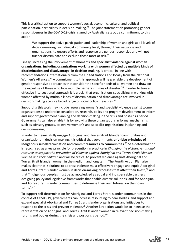This is a critical action to support women's social, economic, cultural and political participation, particularly in decision-making.<sup>30</sup> The joint statement on promoting gender responsiveness in the COVID-19 crisis, signed by Australia, sets out a commitment to this action:

We support the active participation and leadership of women and girls at all levels of decision-making, including at community level, through their networks and organisations, to ensure efforts and response are gender-responsive and will not further discriminate and exclude those most at risk.<sup>31</sup>

Finally, increasing the involvement of **women's and specialist violence against women organisations, including organisations working with women affected by multiple kinds of discrimination and disadvantage, in decision-making**, is critical, in line with recommendations internationally from the United Nations and locally from the National Women's Alliances.<sup>32</sup> A commitment to this approach will help enable the development of gender responsive approaches that consider the specific needs of all women and draw on the expertise of those who face multiple barriers in times of disaster.<sup>33</sup> In order to take an effective intersectional approach it is crucial that organisations specialising in working with women affected by multiple kinds of discrimination and disadvantage are involved in decision-making across a broad range of social policy measures.<sup>34</sup>

Supporting this work may include resourcing women's and specialist violence against women organisations to undertake consultation, research, policy and program development to inform and support government planning and decision-making in the crisis and post-crisis period. Governments can also enable this by involving these organisations in formal mechanisms, such as advisory groups, to involve women's and specialist organisations in planning and decision-making.

In order to meaningfully engage Aboriginal and Torres Strait Islander communities and organisations in decision-making, it is critical that governments **prioritise principles of Indigenous self-determination and commit resources to communities**. <sup>35</sup> Self-determination is recognised as a key principle for prevention in practice in *Changing the picture: A national resource to support the prevention of violence against Aboriginal and Torres Strait Islander women and their children* and will be critical to prevent violence against Aboriginal and Torres Strait Islander women in the medium and long term. The Fourth Action Plan also makes clear that, solutions to address violence must effectively engage and equip Aboriginal and Torres Strait Islander women in decision-making processes that affect their lives",<sup>36</sup> and that "Indigenous peoples must be acknowledged as equal and indispensable partners in designing policy and legislative frameworks that enable diverse solutions, and for Aboriginal and Torres Strait Islander communities to determine their own futures, on their own terms".<sup>37</sup>

To support self-determination for Aboriginal and Torres Strait Islander communities in the context of COVID-19, governments can increase resourcing to peak bodies, and support and expand specialist Aboriginal and Torres Strait Islander organisations and initiatives to respond to the crisis and prevent violence.<sup>38</sup> Another key action would be to increase the representation of Aboriginal and Torres Strait Islander women in relevant decision-making forums and bodies during the crisis and post-crisis period.39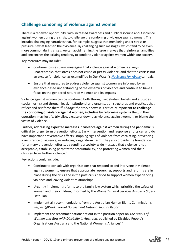### **Challenge condoning of violence against women**

There is a renewed opportunity, with increased awareness and public discourse about violence against women during the crisis, to challenge the condoning of violence against women. This includes challenging narratives that, for example, suggest that men being under stress or pressure is what leads to their violence. By challenging such messages, which tend to be even more common during crises, we can avoid framing the issue in a way that reinforces, amplifies and entrenches the existing tendency to condone violence against women within our society.

Key measures may include:

- Continue to use strong messaging that violence against women is always unacceptable, that stress does not cause or justify violence, and that the crisis is not an excuse for violence, as exemplified in Our Watch's *[No Excuse for Abuse](http://noexcuseforabuse.org.au/No-Excuse/Home)* campaign
- Ensure that measures to address violence against women are informed by an evidence-based understanding of the dynamics of violence and continue to have a focus on the gendered nature of violence and its impacts

Violence against women can be condoned both through widely-held beliefs and attitudes (social norms) and through legal, institutional and organisation structures and practices that reflect and reinforce them.<sup>40</sup> *Change the story* shows it is critically important to **challenge the condoning of violence against women, including by reforming systems** that, in their operation, may justify, trivialise, excuse or downplay violence against women, or blame the victim of violence.

Further, **addressing expected increases in violence against women during the pandemic** is critical to longer term prevention efforts. Early intervention and response efforts can and do have important preventative effects: stopping signs of violence from escalating, preventing a recurrence of violence, or reducing longer-term harm. They also provide the foundation for primary prevention efforts, by sending a society-wide message that violence is not acceptable, establishing perpetrator accountability, and protecting women and their children from further violence.<sup>41</sup>

Key actions could include:

- Continue to consult with organisations that respond to and intervene in violence against women to ensure that appropriate resourcing, supports and reforms are in place during the crisis and in the post-crisis period to support women experiencing violence and leaving violent relationships
- Urgently implement reforms to the family law system which prioritise the safety of women and their children, informed by the Women's Legal Services Australia *Safety First* Plan
- Implement all recommendations from the Australian Human Rights Commission's *Respect@Work: Sexual Harassment National Inquiry Report*
- Implement the recommendations set out in the position paper on *The Status of Women and Girls with Disability in Australia,* published by Disabled People's Organisations Australia and the National Women's Alliances<sup>42</sup>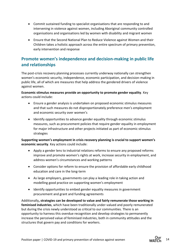- Commit sustained funding to specialist organisations that are responding to and intervening in violence against women, including Aboriginal community controlled organisations and organisations led by women with disability and migrant women
- Ensure that the Second National Plan to Reduce Violence against Women and their Children takes a holistic approach across the entire spectrum of primary prevention, early intervention and response

## **Promote women's independence and decision-making in public life and relationships**

The post-crisis recovery planning processes currently underway nationally can strengthen women's economic security, independence, economic participation, and decision-making in public life, all of which are measures that help address the gendered drivers of violence against women.

**Economic stimulus measures provide an opportunity to promote gender equality**. Key actions could include:

- Ensure a gender analysis is undertaken on proposed economic stimulus measures and that such measures do not disproportionately preference men's employment and economic security over women's
- Identify opportunities to advance gender equality through economic stimulus measures, such as procurement policies that require gender equality in employment for major infrastructure and other projects initiated as part of economic stimulus strategies

**Supporting women's employment in crisis recovery planning is crucial to support women's economic security**. Key actions could include:

- Apply a gender lens to industrial relations reforms to ensure any proposed reforms improve and promote women's rights at work, increase security in employment, and address women's circumstances and working patterns
- Consider options for reform to ensure the provision of affordable early childhood education and care in the long-term
- As large employers, governments can play a leading role in taking action and modelling good practice on supporting women's employment
- Identify opportunities to embed gender equality measures in government procurement and grant and funding agreements

Additionally**, strategies can be developed to value and fairly remunerate those working in feminised industries**, which have been traditionally under-valued and poorly remunerated but during the crisis newly understood as critical to our communities. There is an opportunity to harness this overdue recognition and develop strategies to permanently increase the perceived value of feminised industries, both in community attitudes and the structures that govern pay and conditions for workers.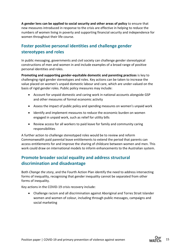**A gender lens can be applied to social security and other areas of policy** to ensure that new measures introduced in response to the crisis are effective in helping to reduce the numbers of women living in poverty and supporting financial security and independence for women throughout their life course.

## **Foster positive personal identities and challenge gender stereotypes and roles**

In public messaging, governments and civil society can challenge gender stereotypical constructions of men and women in and include examples of a broad range of positive personal identities and roles.

**Promoting and supporting gender-equitable domestic and parenting practices** is key to challenging rigid gender stereotypes and roles. Key actions can be taken to increase the value placed on women's unpaid domestic labour and care, which are under-valued on the basis of rigid gender roles. Public policy measures may include:

- Account for unpaid domestic and caring work in national accounts alongside GSP and other measures of formal economic activity
- Assess the impact of public policy and spending measures on women's unpaid work
- Identify and implement measures to reduce the economic burden on women engaged in unpaid work, such as relief for utility bills
- Review access for all workers to paid leave for family and community caring responsibilities

A further action to challenge stereotyped roles would be to review and reform Commonwealth paid parental leave entitlements to extend the period that parents can access entitlements for and improve the sharing of childcare between women and men. This work could draw on international models to inform enhancements to the Australian system.

## **Promote broader social equality and address structural discrimination and disadvantage**

Both *Change the story*, and the Fourth Action Plan identify the need to address intersecting forms of inequality, recognising that gender inequality cannot be separated from other forms of inequality.

Key actions in the COVID-19 crisis recovery include:

• Challenge racism and all discrimination against Aboriginal and Torres Strait Islander women and women of colour, including through public messages, campaigns and social marketing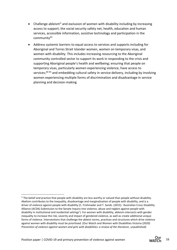- Challenge ableism<sup>iv</sup> and exclusion of women with disability including by increasing access to support, the social security safety net, health, education and human services, accessible information, assistive technology and participation in the community<sup>43</sup>
- Address systemic barriers to equal access to services and supports including for Aboriginal and Torres Strait Islander women, women on temporary visas, and women with disability. This includes increasing resourcing to the Aboriginal community controlled sector to support its work in responding to the crisis and supporting Aboriginal people's health and wellbeing; ensuring that people on temporary visas, particularly women experiencing violence, have access to services;<sup>44 45</sup> and embedding cultural safety in service delivery, including by involving women experiencing multiple forms of discrimination and disadvantage in service planning and decision-making

<sup>&</sup>lt;sup>iv</sup> The belief and practice that people with disability are less worthy or valued than people without disability. Abelism contributes to the inequality, disadvantage and marginalisation of people with disability, and is a driver of violence against people with disability (C. Frohmader and T. Sands. (2015). 'Australian Cross Disability Alliance (ACDA) Submission to the Senate Inquiry into violence, abuse and neglect against people with disability in institutional and residential settings'). For women with disability, ableism intersects with gender inequality to increase the risk, severity and impact of gendered violence, as well as create additional unique forms of violence. Interventions that challenge the ableist norms, practices and structures which drive violence against women with disability must be prioritised. (Our Watch and Women with Disabilities Victoria (2020) *Prevention of violence against women and girls with disabilities: a review of the literature*, unpublished)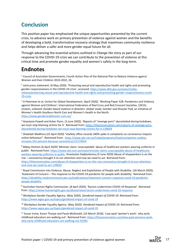# **Conclusion**

This position paper has emphasised the unique opportunities presented by the current crisis, to advance work on primary prevention of violence against women and the benefits of developing a bold, transformative recovery strategy that maximises community resilience and helps deliver a safer and more gender equal future for all.

Through advancing the essential actions outlined in *Change the story* as part of our response to the COVID-19 crisis we can contribute to the prevention of violence at this critical time and promote gender equality and women's safety in the long-term.

## **Endnotes**

<sup>1</sup> Council of Australian Governments, Fourth Action Plan of the National Plan to Reduce Violence against Women and their Children 2010-2022, 26.

 $^2$  Joint press statement. (6 May 2020). 'Protecting sexual and reproductive health and rights and promoting gender-responsiveness in the COVID-19 crisis', accessed: [https://www.dfat.gov.au/news/media](https://www.dfat.gov.au/news/media-release/protecting-sexual-and-reproductive-health-and-rights-and-promoting-gender-responsiveness-covid-19-crisis)[release/protecting-sexual-and-reproductive-health-and-rights-and-promoting-gender-responsiveness-covid-](https://www.dfat.gov.au/news/media-release/protecting-sexual-and-reproductive-health-and-rights-and-promoting-gender-responsiveness-covid-19-crisis)[19-crisis](https://www.dfat.gov.au/news/media-release/protecting-sexual-and-reproductive-health-and-rights-and-promoting-gender-responsiveness-covid-19-crisis)

<sup>3</sup> A Peterman et al, Centre for Global Development. (April 2020). 'Working Paper 528: Pandemics and Violence against Women and Children'; International Federation of Red Cross and Red Crescent Societies. (2015). *Unseen, unheard: Gender-based violence in disasters. Global study*; Gender and Disaster Pod, an initiative of Women's Health Goulburn North East and Women's Health in the North: <https://www.genderanddisaster.com.au/>

<sup>4</sup> Anastasia Powell and Asher Flynn. (3 June 2020). 'Reports of "revenge porn" skyrocketed during lockdown, we must stop blaming victims for it'. Retrieved from: [https://theconversation.com/reports-of-revenge-porn](https://theconversation.com/reports-of-revenge-porn-skyrocketed-during-lockdown-we-must-stop-blaming-victims-for-it-139659)[skyrocketed-during-lockdown-we-must-stop-blaming-victims-for-it-139659](https://theconversation.com/reports-of-revenge-porn-skyrocketed-during-lockdown-we-must-stop-blaming-victims-for-it-139659)

<sup>5</sup> Shalailah Medhora (22 April 2020) "eSafety office records 340% spike in complaints as coronavirus impacts online behaviour". Retrieved from: [https://www.abc.net.au/triplej/programs/hack/complaints-esafety](https://www.abc.net.au/triplej/programs/hack/complaints-esafety-increase-341-percent-because-coronavirus/12174654)[increase-341-percent-because-coronavirus/12174654](https://www.abc.net.au/triplej/programs/hack/complaints-esafety-increase-341-percent-because-coronavirus/12174654)

<sup>6</sup> Abbey Dinham (6 April 2020) 'Minister slams 'unacceptable' abuse of healthcare workers wearing uniforms in public'. Retrieved from: [https://www.sbs.com.au/news/minister-slams-unacceptable-abuse-of-healthcare](https://www.sbs.com.au/news/minister-slams-unacceptable-abuse-of-healthcare-workers-wearing-uniforms-in-public)[workers-wearing-uniforms-in-public.](https://www.sbs.com.au/news/minister-slams-unacceptable-abuse-of-healthcare-workers-wearing-uniforms-in-public) Anastasios Hadjisolomou (5 June 2020) Abuse of shopworkers is on the rise – coronavirus brought it to our attention and now we need to act. Retrieved from: [https://theconversation.com/abuse-of-shopworkers-is-on-the-rise-coronavirus-brought-it-to-our-attention](https://theconversation.com/abuse-of-shopworkers-is-on-the-rise-coronavirus-brought-it-to-our-attention-and-now-we-need-to-act-139620)[and-now-we-need-to-act-139620](https://theconversation.com/abuse-of-shopworkers-is-on-the-rise-coronavirus-brought-it-to-our-attention-and-now-we-need-to-act-139620)

<sup>7</sup> Royal Commission into Violence, Abuse, Neglect and Exploitation of People with Disability. (26 March 2020). 'Statement of Concern – The response to the COVID-19 pandemic for people with disability'. Retrieved from: [https://disability.royalcommission.gov.au/publications/statement-concern-response-covid-19-pandemic](https://disability.royalcommission.gov.au/publications/statement-concern-response-covid-19-pandemic-people-disability)[people-disability](https://disability.royalcommission.gov.au/publications/statement-concern-response-covid-19-pandemic-people-disability)

<sup>8</sup> Australian Human Rights Commission. (8 April 2020). 'Racism undermines COVID-19 Response'. Retrieved from[: https://www.humanrights.gov.au/about/news/racism-undermines-covid-19-response](https://www.humanrights.gov.au/about/news/racism-undermines-covid-19-response)

<sup>9</sup> Workplace Gender Equality Agency. (May 2020). *Gendered impact of COVID-19*. Retrieved from: <https://www.wgea.gov.au/topics/gendered-impact-of-covid-19>

<sup>10</sup> Workplace Gender Equality Agency. (May 2020). *Gendered impact of COVID-19*. Retrieved from: <https://www.wgea.gov.au/topics/gendered-impact-of-covid-19>

<sup>11</sup> Susan Irvine, Karen Thorpe and Paula McDonald. (23 March 2018). 'Low-paid 'women's work': why early childhood educators are walking out'. Retrieved from: [https://theconversation.com/low-paid-womens-work](https://theconversation.com/low-paid-womens-work-why-early-childhood-educators-are-walking-out-91402)[why-early-childhood-educators-are-walking-out-91402](https://theconversation.com/low-paid-womens-work-why-early-childhood-educators-are-walking-out-91402)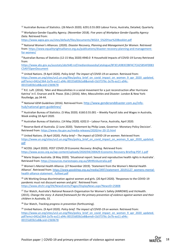<sup>12</sup> Australian Bureau of Statistics. (26 March 2020). 6291.0.55.003 Labour Force, Australia, Detailed, Quarterly.

<sup>13</sup> Workplace Gender Equality Agency. (November 2018). *Five years of Workplace Gender Equality Agency Data*. Retrieved from:

[https://www.wgea.gov.au/sites/default/files/documents/WGEA\\_5%20Year%20Booklet.pdf](https://www.wgea.gov.au/sites/default/files/documents/WGEA_5%20Year%20Booklet.pdf) 

<sup>14</sup> National Women's Alliances. (2020). *Disaster Recovery, Planning and Management for Women*. Retrieved from[: https://www.equalityrightsalliance.org.au/publications/disaster-recovery-planning-and-management](https://www.equalityrightsalliance.org.au/publications/disaster-recovery-planning-and-management-for-women/)[for-women/](https://www.equalityrightsalliance.org.au/publications/disaster-recovery-planning-and-management-for-women/)

<sup>15</sup>Australian Bureau of Statistics (12-15 May 2020) 4940.0 R Household Impacts of COVID-19 Survey Retrieved from:

[https://www.abs.gov.au/ausstats/abs%40.nsf/mediareleasesbyCatalogue/8F3E1A983C0BF4C7CA25854F0083](https://www.abs.gov.au/ausstats/abs%40.nsf/mediareleasesbyCatalogue/8F3E1A983C0BF4C7CA25854F0083C5A9?OpenDocument) [C5A9?OpenDocument](https://www.abs.gov.au/ausstats/abs%40.nsf/mediareleasesbyCatalogue/8F3E1A983C0BF4C7CA25854F0083C5A9?OpenDocument)

<sup>16</sup> United Nations. (9 April 2020). *Policy brief: The impact of COVID-19 on women*. Retrieved from: [https://www.un.org/sites/un2.un.org/files/policy\\_brief\\_on\\_covid\\_impact\\_on\\_women\\_9\\_apr\\_2020\\_updated.](https://www.un.org/sites/un2.un.org/files/policy_brief_on_covid_impact_on_women_9_apr_2020_updated.pdf?emci=042a2364-2a7b-ea11-a94c-00155d03b1e8&emdi=1b37376c-2e7b-ea11-a94c-00155d03b1e8&ceid=2369678) [pdf?emci=042a2364-2a7b-ea11-a94c-00155d03b1e8&emdi=1b37376c-2e7b-ea11-a94c-](https://www.un.org/sites/un2.un.org/files/policy_brief_on_covid_impact_on_women_9_apr_2020_updated.pdf?emci=042a2364-2a7b-ea11-a94c-00155d03b1e8&emdi=1b37376c-2e7b-ea11-a94c-00155d03b1e8&ceid=2369678)[00155d03b1e8&ceid=2369678](https://www.un.org/sites/un2.un.org/files/policy_brief_on_covid_impact_on_women_9_apr_2020_updated.pdf?emci=042a2364-2a7b-ea11-a94c-00155d03b1e8&emdi=1b37376c-2e7b-ea11-a94c-00155d03b1e8&ceid=2369678)

<sup>17</sup> R.E. Luft. (2016). 'Men and Masculinities in a social movement for a just reconstruction after Hurricane Katrina' in E. Enarson and B. Pease. (Eds.) (2016). *Men, Masculinities and Disaster*. London & New York: Routledge, pp.34-44.

<sup>18</sup> *National GEM Guidelines* (2016). Retrieved from: [http://www.genderanddisaster.com.au/info](http://www.genderanddisaster.com.au/info-hub/national-gem-guidelines/)[hub/national-gem-guidelines/](http://www.genderanddisaster.com.au/info-hub/national-gem-guidelines/)

<sup>19</sup> Australian Bureau of Statistics. (5 May 2020). 6160.0.55.001 – Weekly Payroll Jobs and Wages in Australia, Week ending 18 April 2020.

<sup>20</sup> Australian Bureau of Statistics. (14 May 2020). 6202.0 – Labour Force, Australia, April 2020.

<sup>21</sup> Reserve Bank of Australia. (2 June 2020). 'Statement by Philip Lowe, Governor: Monetary Policy Decision'. Retrieved from:<https://www.rba.gov.au/media-releases/2020/mr-20-15.html>

<sup>22</sup> United Nations. (9 April 2020). *Policy brief – The impact of COVID-19 on women*. Retrieved from: [https://www.un.org/sites/un2.un.org/files/policy\\_brief\\_on\\_covid\\_impact\\_on\\_women\\_9\\_apr\\_2020\\_updated.](https://www.un.org/sites/un2.un.org/files/policy_brief_on_covid_impact_on_women_9_apr_2020_updated.pdf) [pdf](https://www.un.org/sites/un2.un.org/files/policy_brief_on_covid_impact_on_women_9_apr_2020_updated.pdf)

<sup>23</sup> ACOSS. (April 2020). *POST COVID 29 Economic Recovery: Briefing*. Retrieved from: <https://www.acoss.org.au/wp-content/uploads/2020/04/200429-Economic-Recovery-Briefing-PDF-1.pdf>

<sup>24</sup> Marie Stopes Australia. (8 May 2020). 'Situational report: Sexual and reproductive health rights in Australia'. Retrieved from:<https://resources.mariestopes.org.au/SRHRinAustralia.pdf>

<sup>25</sup> Women's Mental Health Alliance. (27 November 2019). 'Statement from the Women's Mental Health Alliance'. Retrieved from: [https://www.goodshep.org.au/media/2497/statement\\_20191127\\_womens-mental](https://www.goodshep.org.au/media/2497/statement_20191127_womens-mental-health-alliance-statement_-fulltext.pdf)[health-alliance-statement\\_-fulltext.pdf](https://www.goodshep.org.au/media/2497/statement_20191127_womens-mental-health-alliance-statement_-fulltext.pdf)

<sup>26</sup> UN Working Group discrimination against women and girls. (20 April 2020). 'Responses to the COVID-19 pandemic must not discount women and girls'. Retrieved from: <https://www.ohchr.org/EN/NewsEvents/Pages/DisplayNews.aspx?NewsID=25808>

<sup>27</sup> Our Watch, Australia's National Research Organisation for Women's Safety (ANROWS) and VicHealth. (2015). *Change the story: A shared framework for the primary prevention of violence against women and their children in Australia*, 33.

<sup>28</sup> Our Watch, *Tracking progress in prevention* (forthcoming).

<sup>29</sup> United Nations. (9 April 2020). *Policy brief: The impact of COVID-19 on women*. Retrieved from: [https://www.un.org/sites/un2.un.org/files/policy\\_brief\\_on\\_covid\\_impact\\_on\\_women\\_9\\_apr\\_2020\\_updated.](https://www.un.org/sites/un2.un.org/files/policy_brief_on_covid_impact_on_women_9_apr_2020_updated.pdf?emci=042a2364-2a7b-ea11-a94c-00155d03b1e8&emdi=1b37376c-2e7b-ea11-a94c-00155d03b1e8&ceid=2369678) [pdf?emci=042a2364-2a7b-ea11-a94c-00155d03b1e8&emdi=1b37376c-2e7b-ea11-a94c-](https://www.un.org/sites/un2.un.org/files/policy_brief_on_covid_impact_on_women_9_apr_2020_updated.pdf?emci=042a2364-2a7b-ea11-a94c-00155d03b1e8&emdi=1b37376c-2e7b-ea11-a94c-00155d03b1e8&ceid=2369678)[00155d03b1e8&ceid=2369678](https://www.un.org/sites/un2.un.org/files/policy_brief_on_covid_impact_on_women_9_apr_2020_updated.pdf?emci=042a2364-2a7b-ea11-a94c-00155d03b1e8&emdi=1b37376c-2e7b-ea11-a94c-00155d03b1e8&ceid=2369678)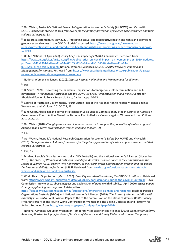<sup>30</sup> Our Watch, Australia's National Research Organisation for Women's Safety (ANROWS) and VicHealth. (2015). *Change the story: A shared framework for the primary prevention of violence against women and their children in Australia*, 33.

<sup>31</sup> Joint press statement. (6 May 2020). 'Protecting sexual and reproductive health and rights and promoting gender-responsiveness in the COVID-19 crisis', accessed: [https://www.dfat.gov.au/news/media](https://www.dfat.gov.au/news/media-release/protecting-sexual-and-reproductive-health-and-rights-and-promoting-gender-responsiveness-covid-19-crisis)[release/protecting-sexual-and-reproductive-health-and-rights-and-promoting-gender-responsiveness-covid-](https://www.dfat.gov.au/news/media-release/protecting-sexual-and-reproductive-health-and-rights-and-promoting-gender-responsiveness-covid-19-crisis)[19-crisis](https://www.dfat.gov.au/news/media-release/protecting-sexual-and-reproductive-health-and-rights-and-promoting-gender-responsiveness-covid-19-crisis)

<sup>32</sup> United Nations. (9 April 2020). *Policy brief: The impact of COVID-19 on women*. Retrieved from: [https://www.un.org/sites/un2.un.org/files/policy\\_brief\\_on\\_covid\\_impact\\_on\\_women\\_9\\_apr\\_2020\\_updated.](https://www.un.org/sites/un2.un.org/files/policy_brief_on_covid_impact_on_women_9_apr_2020_updated.pdf?emci=042a2364-2a7b-ea11-a94c-00155d03b1e8&emdi=1b37376c-2e7b-ea11-a94c-00155d03b1e8&ceid=2369678) [pdf?emci=042a2364-2a7b-ea11-a94c-00155d03b1e8&emdi=1b37376c-2e7b-ea11-a94c-](https://www.un.org/sites/un2.un.org/files/policy_brief_on_covid_impact_on_women_9_apr_2020_updated.pdf?emci=042a2364-2a7b-ea11-a94c-00155d03b1e8&emdi=1b37376c-2e7b-ea11-a94c-00155d03b1e8&ceid=2369678)[00155d03b1e8&ceid=2369678;](https://www.un.org/sites/un2.un.org/files/policy_brief_on_covid_impact_on_women_9_apr_2020_updated.pdf?emci=042a2364-2a7b-ea11-a94c-00155d03b1e8&emdi=1b37376c-2e7b-ea11-a94c-00155d03b1e8&ceid=2369678) National Women's Alliances. (2020). *Disaster Recovery, Planning and Management for Women*. Retrieved from: [https://www.equalityrightsalliance.org.au/publications/disaster](https://www.equalityrightsalliance.org.au/publications/disaster-recovery-planning-and-management-for-women/)[recovery-planning-and-management-for-women/](https://www.equalityrightsalliance.org.au/publications/disaster-recovery-planning-and-management-for-women/)

<sup>33</sup> National Women's Alliances. (2020). *Disaster Recovery, Planning and Management for Women*.

 $34$  Ibid.

<sup>35</sup> D. Smith. (2020). 'Governing the pandemic: Implications for Indigenous self-determination and selfgovernance' in *Indigenous Australians and the COVID-19 Crisis: Perspectives on Public Policy*, Centre for Aboriginal Economic Policy Research, ANU, Canberra, pp. 10-13.

<sup>36</sup> Council of Australian Governments, Fourth Action Plan of the National Plan to Reduce Violence against Women and their Children 2010-2022, 23.

<sup>37</sup> June Oscar, Aboriginal and Torres Strait Islander Social Justice Commissioner, cited in Council of Australian Governments, Fourth Action Plan of the National Plan to Reduce Violence against Women and their Children 2010-2022, 21.

<sup>38</sup> Our Watch (2018) *Changing the picture: A national resource to support the prevention of violence against Aboriginal and Torres Strait Islander women and their children*, 39.

 $39$  Ibid.

<sup>40</sup> Our Watch, Australia's National Research Organisation for Women's Safety (ANROWS) and VicHealth. (2015). *Change the story: A shared framework for the primary prevention of violence against women and their children in Australia*, 23.

<sup>41</sup> Ibid, 15.

<sup>42</sup> Disabled People's Organisations Australia (DPO Australia) and the National Women's Alliances. (November 2019). *The Status of Women and Girls with Disability in Australia: Position paper to the Commission on the Status of Women (CSW) Twenty-Fifth Anniversary of the Fourth World Conference on Women and the Beijing Declaration and Platform for Action (1995)*. Retrieved from: [wwda.org.au/position-paper-the-status-of](http://www.wwda.org.au/position-paper-the-status-of-women-and-girls-with-disability-in-australia/)[women-and-girls-with-disability-in-australia/](http://www.wwda.org.au/position-paper-the-status-of-women-and-girls-with-disability-in-australia/)

<sup>43</sup> World Health Organisation. (March 2020). *Disability considerations during the COVID-19 outbreak*. Retrieved from[: https://www.who.int/publications-detail/disability-considerations-during-the-covid-19-outbreak;](https://www.who.int/publications-detail/disability-considerations-during-the-covid-19-outbreak) Royal Commission into violence, abuse, neglect and exploitation of people with disability. (April 2020). *Issues paper: Emergency planning and response*. Retrieved from:

<https://disability.royalcommission.gov.au/publications/emergency-planning-and-response>; Disabled People's Organisations Australia (DPOA) and National Women's Alliances. (2019). *The Status of Women and Girls with Disability in Australia*, Joint Position Paper to the to the Commission on the Status of Women (CSW) Twenty-Fifth Anniversary of The Fourth World Conference on Women and The Beijing Declaration and Platform for Action. Retrieved from:<http://wwda.org.au/papers/confpaps/confpaps2016/>

<sup>44</sup> National Advocacy Group on Women on Temporary Visas Experiencing Violence (2019) *Blueprint for Reform: Removing Barriers to Safety for Victims/Survivors of Domestic and Family Violence who are on Temporary*